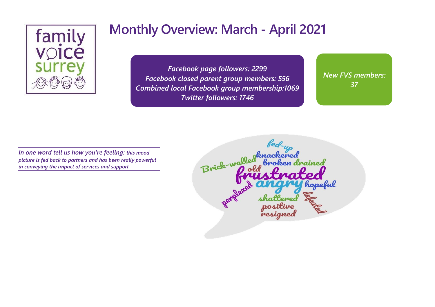

*Facebook page followers: 2299 Facebook closed parent group members: 556 Combined local Facebook group membership:1069 Twitter followers: 1746*

*New FVS members: 37*

*In one word tell us how you're feeling: this mood picture is fed back to partners and has been really powerful in conveying the impact of services and support*

Brick-walled hopefu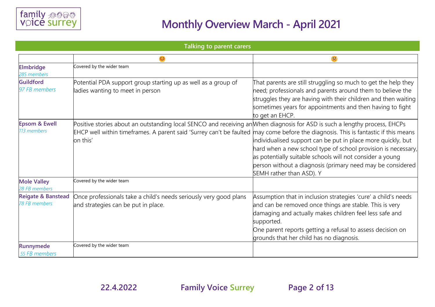

#### **Talking to parent carers**

| <b>Elmbridge</b><br>285 members                       | Covered by the wider team                                                                                                                                                                                     |                                                                                                                                                                                                                                                                                                                                                        |
|-------------------------------------------------------|---------------------------------------------------------------------------------------------------------------------------------------------------------------------------------------------------------------|--------------------------------------------------------------------------------------------------------------------------------------------------------------------------------------------------------------------------------------------------------------------------------------------------------------------------------------------------------|
| <b>Guildford</b><br>97 FB members                     | Potential PDA support group starting up as well as a group of<br>adies wanting to meet in person                                                                                                              | That parents are still struggling so much to get the help they<br>need; professionals and parents around them to believe the<br>struggles they are having with their children and then waiting<br>sometimes years for appointments and then having to fight<br>to get an EHCP.                                                                         |
| <b>Epsom &amp; Ewell</b><br>113 members               | Positive stories about an outstanding local SENCO and receiving an When diagnosis for ASD is such a lengthy process, EHCPs<br>EHCP well within timeframes. A parent said 'Surrey can't be faulted<br>on this' | may come before the diagnosis. This is fantastic if this means<br>individualised support can be put in place more quickly, but<br>hard when a new school type of school provision is necessary,<br>as potentially suitable schools will not consider a young<br>person without a diagnosis (primary need may be considered<br>SEMH rather than ASD). Y |
| <b>Mole Valley</b><br>28 FB members                   | Covered by the wider team                                                                                                                                                                                     |                                                                                                                                                                                                                                                                                                                                                        |
| <b>Reigate &amp; Banstead</b><br><b>78 FB members</b> | Once professionals take a child's needs seriously very good plans<br>and strategies can be put in place.                                                                                                      | Assumption that in inclusion strategies 'cure' a child's needs<br>and can be removed once things are stable. This is very<br>damaging and actually makes children feel less safe and<br>supported.<br>One parent reports getting a refusal to assess decision on<br>grounds that her child has no diagnosis.                                           |
| <b>Runnymede</b><br>55 FB members                     | Covered by the wider team                                                                                                                                                                                     |                                                                                                                                                                                                                                                                                                                                                        |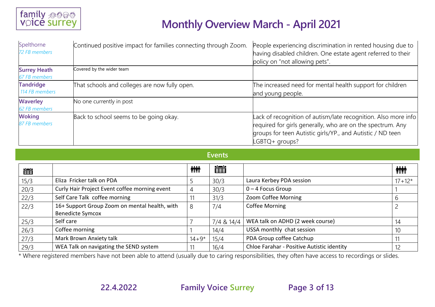

| Spelthorne<br>72 FB members          | Continued positive impact for families connecting through Zoom. | People experiencing discrimination in rented housing due to<br>having disabled children. One estate agent referred to their<br>policy on "not allowing pets".                                                |
|--------------------------------------|-----------------------------------------------------------------|--------------------------------------------------------------------------------------------------------------------------------------------------------------------------------------------------------------|
| <b>Surrey Heath</b><br>67 FB members | Covered by the wider team                                       |                                                                                                                                                                                                              |
| <b>Tandridge</b><br>114 FB members   | That schools and colleges are now fully open.                   | The increased need for mental health support for children<br>and young people.                                                                                                                               |
| <b>Waverley</b><br>62 FB members     | No one currently in post                                        |                                                                                                                                                                                                              |
| <b>Woking</b><br>87 FB members       | Back to school seems to be going okay.                          | Lack of recognition of autism/late recognition. Also more info<br>required for girls generally, who are on the spectrum. Any<br>groups for teen Autistic girls/YP., and Autistic / ND teen<br>LGBTQ+ groups? |

#### **Events**

| 凿    |                                               | <b>ini</b> | 當          |                                            | <b>ini</b> |
|------|-----------------------------------------------|------------|------------|--------------------------------------------|------------|
| 15/3 | Eliza Fricker talk on PDA                     |            | 30/3       | Laura Kerbey PDA session                   | $17 + 12*$ |
| 20/3 | Curly Hair Project Event coffee morning event | 4          | 30/3       | $0 - 4$ Focus Group                        |            |
| 22/3 | Self Care Talk coffee morning                 |            | 31/3       | Zoom Coffee Morning                        | b          |
| 22/3 | 16+ Support Group Zoom on mental health, with | 8          | 7/4        | <b>Coffee Morning</b>                      |            |
|      | <b>Benedicte Symcox</b>                       |            |            |                                            |            |
| 25/3 | Self care                                     |            | 7/4 & 14/4 | WEA talk on ADHD (2 week course)           | 14         |
| 26/3 | Coffee morning                                |            | 14/4       | USSA monthly chat session                  | 10         |
| 27/3 | Mark Brown Anxiety talk                       | $14 + 9*$  | 15/4       | PDA Group coffee Catchup                   |            |
| 29/3 | WEA Talk on navigating the SEND system        |            | 16/4       | Chloe Farahar - Positive Autistic identity | 12         |

\* Where registered members have not been able to attend (usually due to caring responsibilities, they often have access to recordings or slides.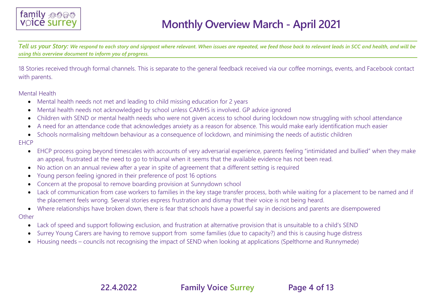

*Tell us your Story: We respond to each story and signpost where relevant. When issues are repeated, we feed those back to relevant leads in SCC and health, and will be using this overview document to inform you of progress.*

18 Stories received through formal channels. This is separate to the general feedback received via our coffee mornings, events, and Facebook contact with parents.

Mental Health

- Mental health needs not met and leading to child missing education for 2 years
- Mental health needs not acknowledged by school unless CAMHS is involved. GP advice ignored
- Children with SEND or mental health needs who were not given access to school during lockdown now struggling with school attendance
- A need for an attendance code that acknowledges anxiety as a reason for absence. This would make early identification much easier
- Schools normalising meltdown behaviour as a consequence of lockdown, and minimising the needs of autistic children

**FHCP** 

- EHCP process going beyond timescales with accounts of very adversarial experience, parents feeling "intimidated and bullied" when they make an appeal, frustrated at the need to go to tribunal when it seems that the available evidence has not been read.
- No action on an annual review after a year in spite of agreement that a different setting is required
- Young person feeling ignored in their preference of post 16 options
- Concern at the proposal to remove boarding provision at Sunnydown school
- Lack of communication from case workers to families in the key stage transfer process, both while waiting for a placement to be named and if the placement feels wrong. Several stories express frustration and dismay that their voice is not being heard.
- Where relationships have broken down, there is fear that schools have a powerful say in decisions and parents are disempowered

**Other** 

- Lack of speed and support following exclusion, and frustration at alternative provision that is unsuitable to a child's SEND
- Surrey Young Carers are having to remove support from some families (due to capacity?) and this is causing huge distress
- Housing needs councils not recognising the impact of SEND when looking at applications (Spelthorne and Runnymede)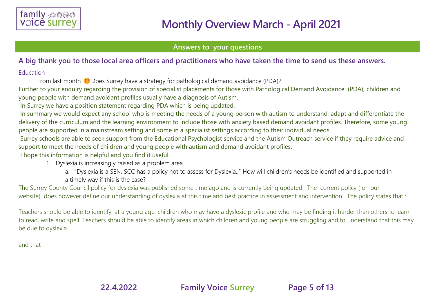

#### **Answers to your questions**

#### **A big thank you to those local area officers and practitioners who have taken the time to send us these answers.**

#### Education

From last month  $\heartsuit$  Does Surrey have a strategy for pathological demand avoidance (PDA)?

Further to your enquiry regarding the provision of specialist placements for those with Pathological Demand Avoidance (PDA), children and young people with demand avoidant profiles usually have a diagnosis of Autism.

In Surrey we have a position statement regarding PDA which is being updated.

In summary we would expect any school who is meeting the needs of a young person with autism to understand, adapt and differentiate the delivery of the curriculum and the learning environment to include those with anxiety based demand avoidant profiles. Therefore, some young people are supported in a mainstream setting and some in a specialist settings according to their individual needs.

Surrey schools are able to seek support from the Educational Psychologist service and the Autism Outreach service if they require advice and support to meet the needs of children and young people with autism and demand avoidant profiles.

I hope this information is helpful and you find it useful

- 1. Dyslexia is increasingly raised as a problem area
	- a. "Dyslexia is a SEN. SCC has a policy not to assess for Dyslexia.." How will children's needs be identified and supported in a timely way if this is the case?

The Surrey County Council policy for dyslexia was published some time ago and is currently being updated. The current policy ( on our website) does however define our understanding of dyslexia at this time and best practice in assessment and intervention. The policy states that :

Teachers should be able to identify, at a young age, children who may have a dyslexic profile and who may be finding it harder than others to learn to read, write and spell. Teachers should be able to identify areas in which children and young people are struggling and to understand that this may be due to dyslexia

and that

**22.4.2022 Family Voice Surrey Page 5 of 13**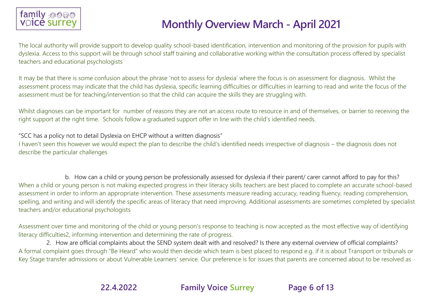

The local authority will provide support to develop quality school-based identification, intervention and monitoring of the provision for pupils with dyslexia. Access to this support will be through school staff training and collaborative working within the consultation process offered by specialist teachers and educational psychologists

It may be that there is some confusion about the phrase 'not to assess for dyslexia' where the focus is on assessment for diagnosis. Whilst the assessment process may indicate that the child has dyslexia, specific learning difficulties or difficulties in learning to read and write the focus of the assessment must be for teaching/intervention so that the child can acquire the skills they are struggling with.

Whilst diagnoses can be important for number of reasons they are not an access route to resource in and of themselves, or barrier to receiving the right support at the right time. Schools follow a graduated support offer in line with the child's identified needs.

"SCC has a policy not to detail Dyslexia on EHCP without a written diagnosis"

I haven't seen this however we would expect the plan to describe the child's identified needs irrespective of diagnosis – the diagnosis does not describe the particular challenges

b. How can a child or young person be professionally assessed for dyslexia if their parent/ carer cannot afford to pay for this? When a child or young person is not making expected progress in their literacy skills teachers are best placed to complete an accurate school-based assessment in order to inform an appropriate intervention. These assessments measure reading accuracy, reading fluency, reading comprehension, spelling, and writing and will identify the specific areas of literacy that need improving. Additional assessments are sometimes completed by specialist teachers and/or educational psychologists

Assessment over time and monitoring of the child or young person's response to teaching is now accepted as the most effective way of identifying literacy difficulties2, informing intervention and determining the rate of progress.

2. How are official complaints about the SEND system dealt with and resolved? Is there any external overview of official complaints? A formal complaint goes through "Be Heard" who would then decide which team is best placed to respond e.g. if it is about Transport or tribunals or Key Stage transfer admissions or about Vulnerable Learners' service. Our preference is for issues that parents are concerned about to be resolved as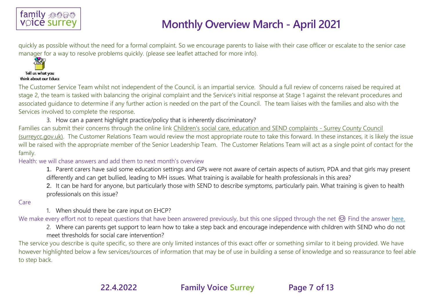

quickly as possible without the need for a formal complaint. So we encourage parents to liaise with their case officer or escalate to the senior case manager for a way to resolve problems quickly. (please see leaflet attached for more info).



think about our Educa

The Customer Service Team whilst not independent of the Council, is an impartial service. Should a full review of concerns raised be required at stage 2, the team is tasked with balancing the original complaint and the Service's initial response at Stage 1 against the relevant procedures and associated guidance to determine if any further action is needed on the part of the Council. The team liaises with the families and also with the Services involved to complete the response.

3. How can a parent highlight practice/policy that is inherently discriminatory?

Families can submit their concerns through the online link [Children's social care, education and SEND complaints -](https://www.surreycc.gov.uk/council-and-democracy/contact-us/complaints-comments-and-compliments/children-and-education-send) Surrey County Council [\(surreycc.gov.uk\).](https://www.surreycc.gov.uk/council-and-democracy/contact-us/complaints-comments-and-compliments/children-and-education-send) The Customer Relations Team would review the most appropriate route to take this forward. In these instances, it is likely the issue will be raised with the appropriate member of the Senior Leadership Team. The Customer Relations Team will act as a single point of contact for the family.

#### Health: we will chase answers and add them to next month's overview

- 1. Parent carers have said some education settings and GPs were not aware of certain aspects of autism, PDA and that girls may present differently and can get bullied, leading to MH issues. What training is available for health professionals in this area?
- 2. It can be hard for anyone, but particularly those with SEND to describe symptoms, particularly pain. What training is given to health professionals on this issue?

Care

1. When should there be care input on EHCP?

We make every effort not to repeat questions that have been answered previously, but this one slipped through the net  $\odot$  Find the answer [here.](https://www.familyvoicesurrey.org/single-post/fvs-february-and-march-monthly-overview)

2. Where can parents get support to learn how to take a step back and encourage independence with children with SEND who do not meet thresholds for social care intervention?

The service you describe is quite specific, so there are only limited instances of this exact offer or something similar to it being provided. We have however highlighted below a few services/sources of information that may be of use in building a sense of knowledge and so reassurance to feel able to step back.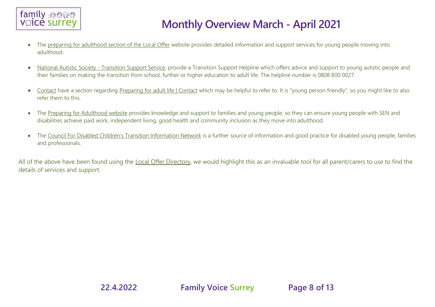

- The [preparing for adulthood section of the Local Offer](https://www.surreylocaloffer.org.uk/kb5/surrey/localoffer/advice.page?id=3GuUkA50n04) website provides detailed information and support services for young people moving into adulthood.
- National Autistic Society [Transition Support Service,](file:///C:/Users/Family%20Voice%20Surrey/Downloads/transition%20support%20helpline%20(autism.org.uk)) provide a Transition Support Helpline which offers advice and support to young autistic people and their families on making the transition from school, further or higher education to adult life. The helpline number is 0808 800 0027.
- [Contact](https://contact.org.uk/) have a section regarding [Preparing for adult life | Contact](https://contact.org.uk/help-for-families/information-advice-services/preparing-for-adult-life/) which may be helpful to refer to. It is "young person friendly", so you might like to also refer them to this.
- The [Preparing for Adulthood website](file:///C:/Users/Family%20Voice%20Surrey/Downloads/Preparing%20for%20Adulthood%20|%20PfA%20|%20Home%20Page) provides knowledge and support to families and young people, so they can ensure young people with SEN and disabilities achieve paid work, independent living, good health and community inclusion as they move into adulthood.
- The [Council For Disabled Children's Transition Information Network](file:///C:/Users/Family%20Voice%20Surrey/Downloads/Transition%20Information%20Network%20|%20Council%20For%20Disabled%20Children) is a further source of information and good practice for disabled young people, families and professionals.

All of the above have been found using the [Local Offer Directory,](https://www.surreylocaloffer.org.uk/kb5/surrey/localoffer/localoffer.page) we would highlight this as an invaluable tool for all parent/carers to use to find the details of services and support.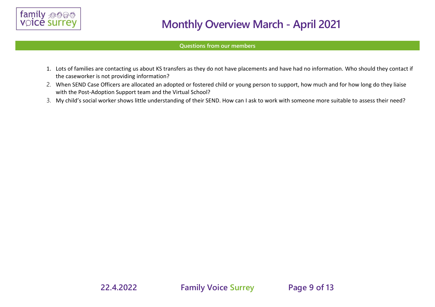

#### **Questions from our members**

- 1. Lots of families are contacting us about KS transfers as they do not have placements and have had no information. Who should they contact if the caseworker is not providing information?
- 2. When SEND Case Officers are allocated an adopted or fostered child or young person to support, how much and for how long do they liaise with the Post-Adoption Support team and the Virtual School?
- 3. My child's social worker shows little understanding of their SEND. How can I ask to work with someone more suitable to assess their need?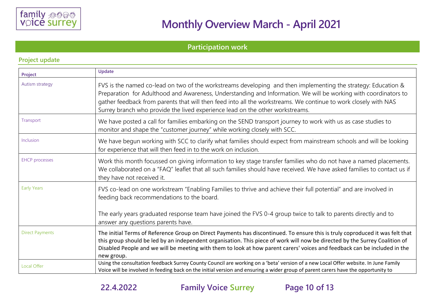

### **Participation work**

|                        | Update                                                                                                                                                                                                                                                                                                                                                                                                                               |
|------------------------|--------------------------------------------------------------------------------------------------------------------------------------------------------------------------------------------------------------------------------------------------------------------------------------------------------------------------------------------------------------------------------------------------------------------------------------|
| Project                |                                                                                                                                                                                                                                                                                                                                                                                                                                      |
| Autism strategy        | FVS is the named co-lead on two of the workstreams developing and then implementing the strategy: Education &<br>Preparation for Adulthood and Awareness, Understanding and Information. We will be working with coordinators to<br>gather feedback from parents that will then feed into all the workstreams. We continue to work closely with NAS<br>Surrey branch who provide the lived experience lead on the other workstreams. |
| Transport              | We have posted a call for families embarking on the SEND transport journey to work with us as case studies to<br>monitor and shape the "customer journey" while working closely with SCC.                                                                                                                                                                                                                                            |
| Inclusion              | We have begun working with SCC to clarify what families should expect from mainstream schools and will be looking<br>for experience that will then feed in to the work on inclusion.                                                                                                                                                                                                                                                 |
| <b>EHCP</b> processes  | Work this month focussed on giving information to key stage transfer families who do not have a named placements.<br>We collaborated on a "FAQ" leaflet that all such families should have received. We have asked families to contact us if<br>they have not received it.                                                                                                                                                           |
| <b>Early Years</b>     | FVS co-lead on one workstream "Enabling Families to thrive and achieve their full potential" and are involved in<br>feeding back recommendations to the board.<br>The early years graduated response team have joined the FVS 0-4 group twice to talk to parents directly and to<br>answer any questions parents have.                                                                                                               |
| <b>Direct Payments</b> | The initial Terms of Reference Group on Direct Payments has discontinued. To ensure this is truly coproduced it was felt that<br>this group should be led by an independent organisation. This piece of work will now be directed by the Surrey Coalition of<br>Disabled People and we will be meeting with them to look at how parent carers' voices and feedback can be included in the<br>new group.                              |
| Local Offer            | Using the consultation feedback Surrey County Council are working on a 'beta' version of a new Local Offer website. In June Family<br>Voice will be involved in feeding back on the initial version and ensuring a wider group of parent carers have the opportunity to                                                                                                                                                              |

#### **Project update**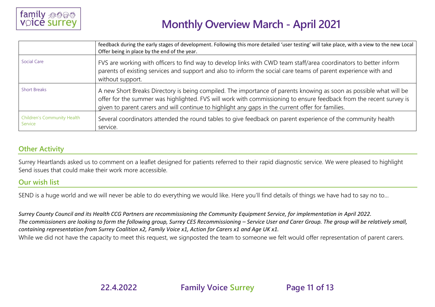

|                                        | feedback during the early stages of development. Following this more detailed 'user testing' will take place, with a view to the new Local<br>Offer being in place by the end of the year.                                                                                                                                                     |
|----------------------------------------|------------------------------------------------------------------------------------------------------------------------------------------------------------------------------------------------------------------------------------------------------------------------------------------------------------------------------------------------|
| Social Care                            | FVS are working with officers to find way to develop links with CWD team staff/area coordinators to better inform<br>parents of existing services and support and also to inform the social care teams of parent experience with and<br>without support.                                                                                       |
| <b>Short Breaks</b>                    | A new Short Breaks Directory is being compiled. The importance of parents knowing as soon as possible what will be<br>offer for the summer was highlighted. FVS will work with commissioning to ensure feedback from the recent survey is<br>given to parent carers and will continue to highlight any gaps in the current offer for families. |
| Children's Community Health<br>Service | Several coordinators attended the round tables to give feedback on parent experience of the community health<br>service.                                                                                                                                                                                                                       |

### **Other Activity**

Surrey Heartlands asked us to comment on a leaflet designed for patients referred to their rapid diagnostic service. We were pleased to highlight Send issues that could make their work more accessible.

#### **Our wish list**

SEND is a huge world and we will never be able to do everything we would like. Here you'll find details of things we have had to say no to…

*Surrey County Council and its Health CCG Partners are recommissioning the Community Equipment Service, for implementation in April 2022.*  The commissioners are looking to form the following group, Surrey CES Recommissioning – Service User and Carer Group. The group will be relatively small, *containing representation from Surrey Coalition x2, Family Voice x1, Action for Carers x1 and Age UK x1.*  While we did not have the capacity to meet this request, we signposted the team to someone we felt would offer representation of parent carers.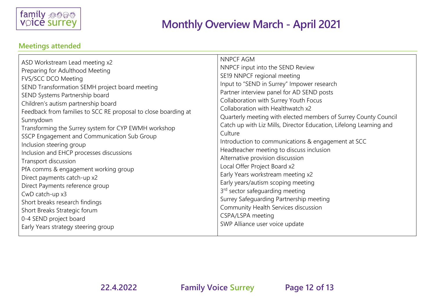

## **Meetings attended**

| ASD Workstream Lead meeting x2                                 | NNPCF AGM                                                          |
|----------------------------------------------------------------|--------------------------------------------------------------------|
| Preparing for Adulthood Meeting                                | NNPCF input into the SEND Review                                   |
| FVS/SCC DCO Meeting                                            | SE19 NNPCF regional meeting                                        |
| SEND Transformation SEMH project board meeting                 | Input to "SEND in Surrey" Impower research                         |
| SEND Systems Partnership board                                 | Partner interview panel for AD SEND posts                          |
| Children's autism partnership board                            | Collaboration with Surrey Youth Focus                              |
| Feedback from families to SCC RE proposal to close boarding at | Collaboration with Healthwatch x2                                  |
| Sunnydown                                                      | Quarterly meeting with elected members of Surrey County Council    |
| Transforming the Surrey system for CYP EWMH workshop           | Catch up with Liz Mills, Director Education, Lifelong Learning and |
| SSCP Engagement and Communication Sub Group                    | Culture                                                            |
| Inclusion steering group                                       | Introduction to communications & engagement at SCC                 |
| Inclusion and EHCP processes discussions                       | Headteacher meeting to discuss inclusion                           |
| Transport discussion                                           | Alternative provision discussion                                   |
| PfA comms & engagement working group                           | Local Offer Project Board x2                                       |
| Direct payments catch-up x2                                    | Early Years workstream meeting x2                                  |
| Direct Payments reference group                                | Early years/autism scoping meeting                                 |
| CwD catch-up x3                                                | 3 <sup>rd</sup> sector safeguarding meeting                        |
| Short breaks research findings                                 | Surrey Safeguarding Partnership meeting                            |
| Short Breaks Strategic forum                                   | Community Health Services discussion                               |
| 0-4 SEND project board                                         | CSPA/LSPA meeting                                                  |
| Early Years strategy steering group                            | SWP Alliance user voice update                                     |

**22.4.2022 Family Voice Surrey Page 12 of 13**